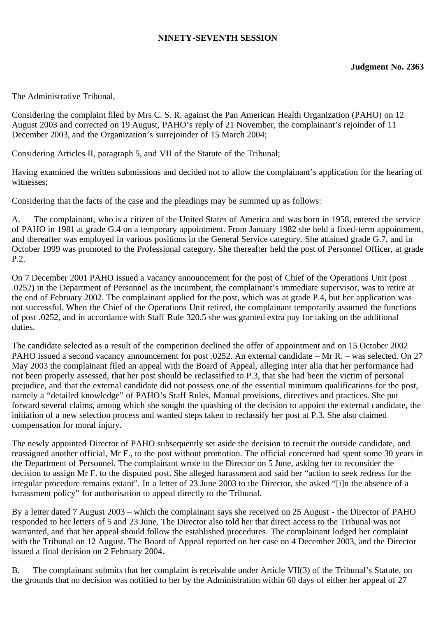## **NINETY-SEVENTH SESSION**

The Administrative Tribunal,

Considering the complaint filed by Mrs C. S. R. against the Pan American Health Organization (PAHO) on 12 August 2003 and corrected on 19 August, PAHO's reply of 21 November, the complainant's rejoinder of 11 December 2003, and the Organization's surrejoinder of 15 March 2004;

Considering Articles II, paragraph 5, and VII of the Statute of the Tribunal;

Having examined the written submissions and decided not to allow the complainant's application for the hearing of witnesses;

Considering that the facts of the case and the pleadings may be summed up as follows:

A. The complainant, who is a citizen of the United States of America and was born in 1958, entered the service of PAHO in 1981 at grade G.4 on a temporary appointment. From January 1982 she held a fixed-term appointment, and thereafter was employed in various positions in the General Service category. She attained grade G.7, and in October 1999 was promoted to the Professional category. She thereafter held the post of Personnel Officer, at grade P.2.

On 7 December 2001 PAHO issued a vacancy announcement for the post of Chief of the Operations Unit (post .0252) in the Department of Personnel as the incumbent, the complainant's immediate supervisor, was to retire at the end of February 2002. The complainant applied for the post, which was at grade P.4, but her application was not successful. When the Chief of the Operations Unit retired, the complainant temporarily assumed the functions of post .0252, and in accordance with Staff Rule 320.5 she was granted extra pay for taking on the additional duties.

The candidate selected as a result of the competition declined the offer of appointment and on 15 October 2002 PAHO issued a second vacancy announcement for post .0252. An external candidate – Mr R. – was selected. On 27 May 2003 the complainant filed an appeal with the Board of Appeal, alleging inter alia that her performance had not been properly assessed, that her post should be reclassified to P.3, that she had been the victim of personal prejudice, and that the external candidate did not possess one of the essential minimum qualifications for the post, namely a "detailed knowledge" of PAHO's Staff Rules, Manual provisions, directives and practices. She put forward several claims, among which she sought the quashing of the decision to appoint the external candidate, the initiation of a new selection process and wanted steps taken to reclassify her post at P.3. She also claimed compensation for moral injury.

The newly appointed Director of PAHO subsequently set aside the decision to recruit the outside candidate, and reassigned another official, Mr F., to the post without promotion. The official concerned had spent some 30 years in the Department of Personnel. The complainant wrote to the Director on 5 June, asking her to reconsider the decision to assign Mr F. to the disputed post. She alleged harassment and said her "action to seek redress for the irregular procedure remains extant". In a letter of 23 June 2003 to the Director, she asked "[i]n the absence of a harassment policy" for authorisation to appeal directly to the Tribunal.

By a letter dated 7 August 2003 – which the complainant says she received on 25 August - the Director of PAHO responded to her letters of 5 and 23 June. The Director also told her that direct access to the Tribunal was not warranted, and that her appeal should follow the established procedures. The complainant lodged her complaint with the Tribunal on 12 August. The Board of Appeal reported on her case on 4 December 2003, and the Director issued a final decision on 2 February 2004.

B. The complainant submits that her complaint is receivable under Article VII(3) of the Tribunal's Statute, on the grounds that no decision was notified to her by the Administration within 60 days of either her appeal of 27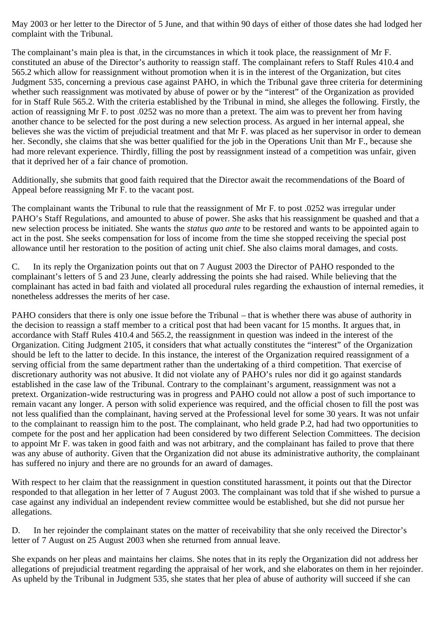May 2003 or her letter to the Director of 5 June, and that within 90 days of either of those dates she had lodged her complaint with the Tribunal.

The complainant's main plea is that, in the circumstances in which it took place, the reassignment of Mr F. constituted an abuse of the Director's authority to reassign staff. The complainant refers to Staff Rules 410.4 and 565.2 which allow for reassignment without promotion when it is in the interest of the Organization, but cites Judgment 535, concerning a previous case against PAHO, in which the Tribunal gave three criteria for determining whether such reassignment was motivated by abuse of power or by the "interest" of the Organization as provided for in Staff Rule 565.2. With the criteria established by the Tribunal in mind, she alleges the following. Firstly, the action of reassigning Mr F. to post .0252 was no more than a pretext. The aim was to prevent her from having another chance to be selected for the post during a new selection process. As argued in her internal appeal, she believes she was the victim of prejudicial treatment and that Mr F. was placed as her supervisor in order to demean her. Secondly, she claims that she was better qualified for the job in the Operations Unit than Mr F., because she had more relevant experience. Thirdly, filling the post by reassignment instead of a competition was unfair, given that it deprived her of a fair chance of promotion.

Additionally, she submits that good faith required that the Director await the recommendations of the Board of Appeal before reassigning Mr F. to the vacant post.

The complainant wants the Tribunal to rule that the reassignment of Mr F. to post .0252 was irregular under PAHO's Staff Regulations, and amounted to abuse of power. She asks that his reassignment be quashed and that a new selection process be initiated. She wants the *status quo ante* to be restored and wants to be appointed again to act in the post. She seeks compensation for loss of income from the time she stopped receiving the special post allowance until her restoration to the position of acting unit chief. She also claims moral damages, and costs.

C. In its reply the Organization points out that on 7 August 2003 the Director of PAHO responded to the complainant's letters of 5 and 23 June, clearly addressing the points she had raised. While believing that the complainant has acted in bad faith and violated all procedural rules regarding the exhaustion of internal remedies, it nonetheless addresses the merits of her case.

PAHO considers that there is only one issue before the Tribunal – that is whether there was abuse of authority in the decision to reassign a staff member to a critical post that had been vacant for 15 months. It argues that, in accordance with Staff Rules 410.4 and 565.2, the reassignment in question was indeed in the interest of the Organization. Citing Judgment 2105, it considers that what actually constitutes the "interest" of the Organization should be left to the latter to decide. In this instance, the interest of the Organization required reassignment of a serving official from the same department rather than the undertaking of a third competition. That exercise of discretionary authority was not abusive. It did not violate any of PAHO's rules nor did it go against standards established in the case law of the Tribunal. Contrary to the complainant's argument, reassignment was not a pretext. Organization-wide restructuring was in progress and PAHO could not allow a post of such importance to remain vacant any longer. A person with solid experience was required, and the official chosen to fill the post was not less qualified than the complainant, having served at the Professional level for some 30 years. It was not unfair to the complainant to reassign him to the post. The complainant, who held grade P.2, had had two opportunities to compete for the post and her application had been considered by two different Selection Committees. The decision to appoint Mr F. was taken in good faith and was not arbitrary, and the complainant has failed to prove that there was any abuse of authority. Given that the Organization did not abuse its administrative authority, the complainant has suffered no injury and there are no grounds for an award of damages.

With respect to her claim that the reassignment in question constituted harassment, it points out that the Director responded to that allegation in her letter of 7 August 2003. The complainant was told that if she wished to pursue a case against any individual an independent review committee would be established, but she did not pursue her allegations.

D. In her rejoinder the complainant states on the matter of receivability that she only received the Director's letter of 7 August on 25 August 2003 when she returned from annual leave.

She expands on her pleas and maintains her claims. She notes that in its reply the Organization did not address her allegations of prejudicial treatment regarding the appraisal of her work, and she elaborates on them in her rejoinder. As upheld by the Tribunal in Judgment 535, she states that her plea of abuse of authority will succeed if she can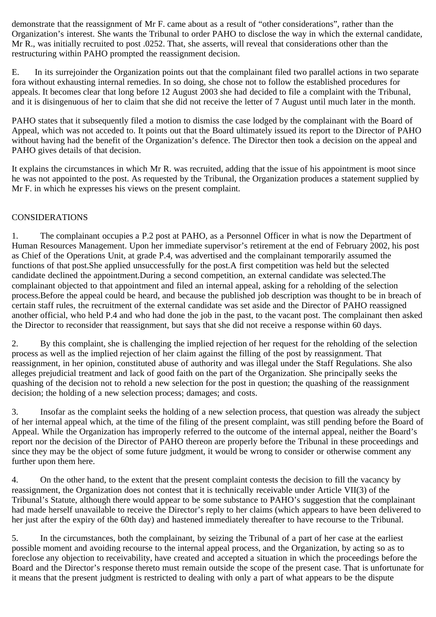demonstrate that the reassignment of Mr F. came about as a result of "other considerations", rather than the Organization's interest. She wants the Tribunal to order PAHO to disclose the way in which the external candidate, Mr R., was initially recruited to post .0252. That, she asserts, will reveal that considerations other than the restructuring within PAHO prompted the reassignment decision.

E. In its surrejoinder the Organization points out that the complainant filed two parallel actions in two separate fora without exhausting internal remedies. In so doing, she chose not to follow the established procedures for appeals. It becomes clear that long before 12 August 2003 she had decided to file a complaint with the Tribunal, and it is disingenuous of her to claim that she did not receive the letter of 7 August until much later in the month.

PAHO states that it subsequently filed a motion to dismiss the case lodged by the complainant with the Board of Appeal, which was not acceded to. It points out that the Board ultimately issued its report to the Director of PAHO without having had the benefit of the Organization's defence. The Director then took a decision on the appeal and PAHO gives details of that decision.

It explains the circumstances in which Mr R. was recruited, adding that the issue of his appointment is moot since he was not appointed to the post. As requested by the Tribunal, the Organization produces a statement supplied by Mr F. in which he expresses his views on the present complaint.

## CONSIDERATIONS

1. The complainant occupies a P.2 post at PAHO, as a Personnel Officer in what is now the Department of Human Resources Management. Upon her immediate supervisor's retirement at the end of February 2002, his post as Chief of the Operations Unit, at grade P.4, was advertised and the complainant temporarily assumed the functions of that post.She applied unsuccessfully for the post.A first competition was held but the selected candidate declined the appointment.During a second competition, an external candidate was selected.The complainant objected to that appointment and filed an internal appeal, asking for a reholding of the selection process.Before the appeal could be heard, and because the published job description was thought to be in breach of certain staff rules, the recruitment of the external candidate was set aside and the Director of PAHO reassigned another official, who held P.4 and who had done the job in the past, to the vacant post. The complainant then asked the Director to reconsider that reassignment, but says that she did not receive a response within 60 days.

2. By this complaint, she is challenging the implied rejection of her request for the reholding of the selection process as well as the implied rejection of her claim against the filling of the post by reassignment. That reassignment, in her opinion, constituted abuse of authority and was illegal under the Staff Regulations. She also alleges prejudicial treatment and lack of good faith on the part of the Organization. She principally seeks the quashing of the decision not to rehold a new selection for the post in question; the quashing of the reassignment decision; the holding of a new selection process; damages; and costs.

3. Insofar as the complaint seeks the holding of a new selection process, that question was already the subject of her internal appeal which, at the time of the filing of the present complaint, was still pending before the Board of Appeal. While the Organization has improperly referred to the outcome of the internal appeal, neither the Board's report nor the decision of the Director of PAHO thereon are properly before the Tribunal in these proceedings and since they may be the object of some future judgment, it would be wrong to consider or otherwise comment any further upon them here.

4. On the other hand, to the extent that the present complaint contests the decision to fill the vacancy by reassignment, the Organization does not contest that it is technically receivable under Article VII(3) of the Tribunal's Statute, although there would appear to be some substance to PAHO's suggestion that the complainant had made herself unavailable to receive the Director's reply to her claims (which appears to have been delivered to her just after the expiry of the 60th day) and hastened immediately thereafter to have recourse to the Tribunal.

5. In the circumstances, both the complainant, by seizing the Tribunal of a part of her case at the earliest possible moment and avoiding recourse to the internal appeal process, and the Organization, by acting so as to foreclose any objection to receivability, have created and accepted a situation in which the proceedings before the Board and the Director's response thereto must remain outside the scope of the present case. That is unfortunate for it means that the present judgment is restricted to dealing with only a part of what appears to be the dispute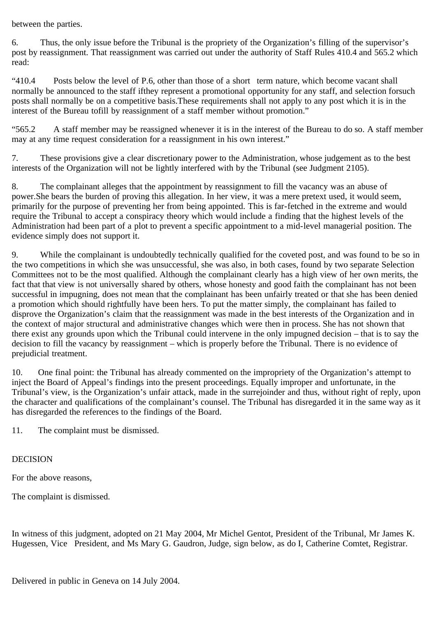between the parties.

6. Thus, the only issue before the Tribunal is the propriety of the Organization's filling of the supervisor's post by reassignment. That reassignment was carried out under the authority of Staff Rules 410.4 and 565.2 which read:

"410.4 Posts below the level of P.6, other than those of a short term nature, which become vacant shall normally be announced to the staff ifthey represent a promotional opportunity for any staff, and selection forsuch posts shall normally be on a competitive basis.These requirements shall not apply to any post which it is in the interest of the Bureau tofill by reassignment of a staff member without promotion."

"565.2 A staff member may be reassigned whenever it is in the interest of the Bureau to do so. A staff member may at any time request consideration for a reassignment in his own interest."

7. These provisions give a clear discretionary power to the Administration, whose judgement as to the best interests of the Organization will not be lightly interfered with by the Tribunal (see Judgment 2105).

8. The complainant alleges that the appointment by reassignment to fill the vacancy was an abuse of power.She bears the burden of proving this allegation. In her view, it was a mere pretext used, it would seem, primarily for the purpose of preventing her from being appointed. This is far-fetched in the extreme and would require the Tribunal to accept a conspiracy theory which would include a finding that the highest levels of the Administration had been part of a plot to prevent a specific appointment to a mid-level managerial position. The evidence simply does not support it.

9. While the complainant is undoubtedly technically qualified for the coveted post, and was found to be so in the two competitions in which she was unsuccessful, she was also, in both cases, found by two separate Selection Committees not to be the most qualified. Although the complainant clearly has a high view of her own merits, the fact that that view is not universally shared by others, whose honesty and good faith the complainant has not been successful in impugning, does not mean that the complainant has been unfairly treated or that she has been denied a promotion which should rightfully have been hers. To put the matter simply, the complainant has failed to disprove the Organization's claim that the reassignment was made in the best interests of the Organization and in the context of major structural and administrative changes which were then in process. She has not shown that there exist any grounds upon which the Tribunal could intervene in the only impugned decision – that is to say the decision to fill the vacancy by reassignment – which is properly before the Tribunal. There is no evidence of prejudicial treatment.

10. One final point: the Tribunal has already commented on the impropriety of the Organization's attempt to inject the Board of Appeal's findings into the present proceedings. Equally improper and unfortunate, in the Tribunal's view, is the Organization's unfair attack, made in the surrejoinder and thus, without right of reply, upon the character and qualifications of the complainant's counsel. The Tribunal has disregarded it in the same way as it has disregarded the references to the findings of the Board.

11. The complaint must be dismissed.

## DECISION

For the above reasons,

The complaint is dismissed.

In witness of this judgment, adopted on 21 May 2004, Mr Michel Gentot, President of the Tribunal, Mr James K. Hugessen, Vice President, and Ms Mary G. Gaudron, Judge, sign below, as do I, Catherine Comtet, Registrar.